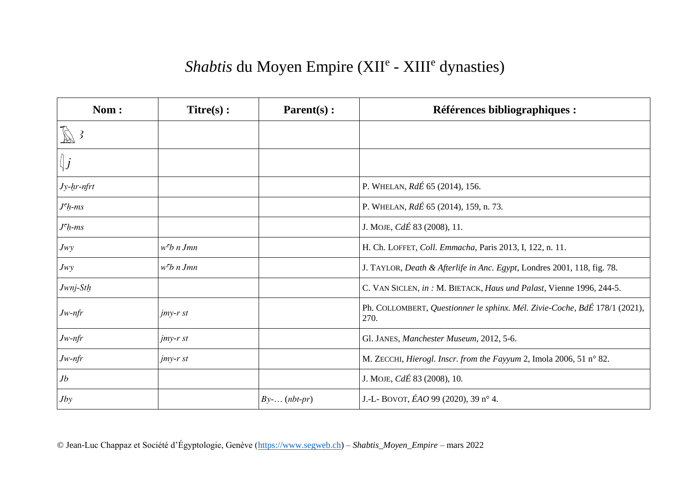## Shabtis du Moyen Empire (XII<sup>e</sup> - XIII<sup>e</sup> dynasties)

| Nom:              | $Titre(s)$ :       | Parent(s):        | <b>Références bibliographiques :</b>                                               |
|-------------------|--------------------|-------------------|------------------------------------------------------------------------------------|
| $\mathbb{Z}$ 3    |                    |                   |                                                                                    |
| $\big\ j$         |                    |                   |                                                                                    |
| $Jy$ - $hr$ -nfrt |                    |                   | P. WHELAN, RdÉ 65 (2014), 156.                                                     |
| $Jch-ms$          |                    |                   | P. WHELAN, RdÉ 65 (2014), 159, n. 73.                                              |
| $Jch-ms$          |                    |                   | J. MOJE, <i>CdÉ</i> 83 (2008), 11.                                                 |
| Jw                | $wcb$ n Jmn        |                   | H. Ch. LOFFET, Coll. Emmacha, Paris 2013, I, 122, n. 11.                           |
| Jw                | $wcb$ n Jmn        |                   | J. TAYLOR, Death & Afterlife in Anc. Egypt, Londres 2001, 118, fig. 78.            |
| Jwnj-Sth          |                    |                   | C. VAN SICLEN, in : M. BIETACK, Haus und Palast, Vienne 1996, 244-5.               |
| $Jw$ -nfr         | $j$ <i>my-r st</i> |                   | Ph. COLLOMBERT, Questionner le sphinx. Mél. Zivie-Coche, BdÉ 178/1 (2021),<br>270. |
| $Jw$ -nfr         | $j$ <i>my-r st</i> |                   | Gl. JANES, Manchester Museum, 2012, 5-6.                                           |
| $Jw$ -nfr         | $j$ <i>my-r st</i> |                   | M. ZECCHI, Hierogl. Inscr. from the Fayyum 2, Imola 2006, 51 n° 82.                |
| Jb                |                    |                   | J. MOJE, $Cd\acute{E}$ 83 (2008), 10.                                              |
| Jby               |                    | $By$ - $(nbt-pr)$ | J.-L- BOVOT, $EAO$ 99 (2020), 39 n° 4.                                             |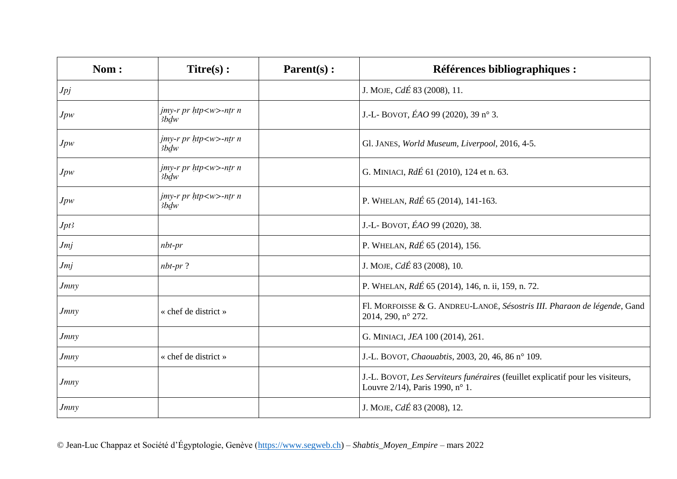| Nom:        | $Titre(s)$ :                              | Parent(s): | <b>Références bibliographiques :</b>                                                                               |
|-------------|-------------------------------------------|------------|--------------------------------------------------------------------------------------------------------------------|
| Jpj         |                                           |            | J. MOJE, <i>CdÉ</i> 83 (2008), 11.                                                                                 |
| Jpw         | $j$ my-r pr $h$ tp <w>-ntr n<br/>3bdw</w> |            | J.-L- BOVOT, $EAO$ 99 (2020), 39 n° 3.                                                                             |
| Jpw         | jmy-r pr htp <w>-ntr n<br/>3bdw</w>       |            | Gl. JANES, World Museum, Liverpool, 2016, 4-5.                                                                     |
| Jpw         | jmy-r pr htp <w>-ntr n<br/>3bdw</w>       |            | G. MINIACI, RdÉ 61 (2010), 124 et n. 63.                                                                           |
| Jpw         | $j$ my-r pr $h$ tp <w>-ntr n<br/>3bdw</w> |            | P. WHELAN, RdÉ 65 (2014), 141-163.                                                                                 |
| Jpt3        |                                           |            | J.-L- BOVOT, ÉAO 99 (2020), 38.                                                                                    |
| Jmj         | $nbt-pr$                                  |            | P. WHELAN, RdÉ 65 (2014), 156.                                                                                     |
| Jmj         | $nbr$ ?                                   |            | J. MOJE, CdÉ 83 (2008), 10.                                                                                        |
| <i>Jmny</i> |                                           |            | P. WHELAN, RdÉ 65 (2014), 146, n. ii, 159, n. 72.                                                                  |
| <i>Jmny</i> | « chef de district »                      |            | Fl. MORFOISSE & G. ANDREU-LANOË, Sésostris III. Pharaon de légende, Gand<br>2014, 290, n° 272.                     |
| <i>Jmny</i> |                                           |            | G. MINIACI, JEA 100 (2014), 261.                                                                                   |
| <b>Jmny</b> | « chef de district »                      |            | J.-L. BOVOT, Chaouabtis, 2003, 20, 46, 86 n° 109.                                                                  |
| <i>Jmny</i> |                                           |            | J.-L. BOVOT, Les Serviteurs funéraires (feuillet explicatif pour les visiteurs,<br>Louvre 2/14), Paris 1990, n° 1. |
| <i>Jmny</i> |                                           |            | J. MOJE, CdÉ 83 (2008), 12.                                                                                        |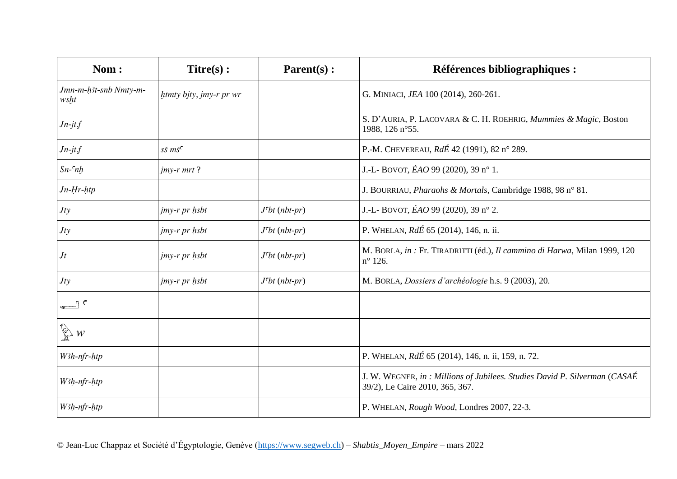| Nom:                          | $Titre(s)$ :                                            | Parent(s):                  | <b>Références bibliographiques :</b>                                                                         |
|-------------------------------|---------------------------------------------------------|-----------------------------|--------------------------------------------------------------------------------------------------------------|
| Jmn-m-h3t-snb Nmty-m-<br>wsht | htmty bjty, jmy-r pr wr                                 |                             | G. MINIACI, JEA 100 (2014), 260-261.                                                                         |
| $Jn-jt.f$                     |                                                         |                             | S. D'AURIA, P. LACOVARA & C. H. ROEHRIG, Mummies & Magic, Boston<br>1988, 126 n°55.                          |
| $Jn-jt$                       | $s\check{s}$ $m\check{s}$ <sup><math>\circ</math></sup> |                             | P.-M. CHEVEREAU, RdÉ 42 (1991), 82 n° 289.                                                                   |
| $Sn-cnh$                      | $j$ <i>my-r mrt</i> ?                                   |                             | J.-L- BOVOT, $EAO$ 99 (2020), 39 n° 1.                                                                       |
| $Jn-Hr$ -htp                  |                                                         |                             | J. BOURRIAU, Pharaohs & Mortals, Cambridge 1988, 98 n° 81.                                                   |
| Jty                           | jmy-r pr hsbt                                           | $J^{\mathsf{c}}bt$ (nbt-pr) | J.-L- BOVOT, $EAO$ 99 (2020), 39 n° 2.                                                                       |
| <b>Jty</b>                    | jmy-r pr hsbt                                           | $J^{\mathsf{c}}bt$ (nbt-pr) | P. WHELAN, RdÉ 65 (2014), 146, n. ii.                                                                        |
| Jt                            | jmy-r pr hsbt                                           | $J^{\mathsf{c}}bt$ (nbt-pr) | M. BORLA, in : Fr. TIRADRITTI (éd.), Il cammino di Harwa, Milan 1999, 120<br>$n^{\circ}$ 126.                |
| Jty                           | jmy-r pr hsbt                                           | $J^{\mathsf{c}}bt$ (nbt-pr) | M. BORLA, Dossiers d'archéologie h.s. 9 (2003), 20.                                                          |
| $\overline{\phantom{a}}$      |                                                         |                             |                                                                                                              |
| $\sum_{k=1}^{n}$ w            |                                                         |                             |                                                                                                              |
| W3h-nfr-htp                   |                                                         |                             | P. WHELAN, $Rd\acute{E}$ 65 (2014), 146, n. ii, 159, n. 72.                                                  |
| W3h-nfr-htp                   |                                                         |                             | J. W. WEGNER, in: Millions of Jubilees. Studies David P. Silverman (CASAÉ<br>39/2), Le Caire 2010, 365, 367. |
| W3h-nfr-htp                   |                                                         |                             | P. WHELAN, Rough Wood, Londres 2007, 22-3.                                                                   |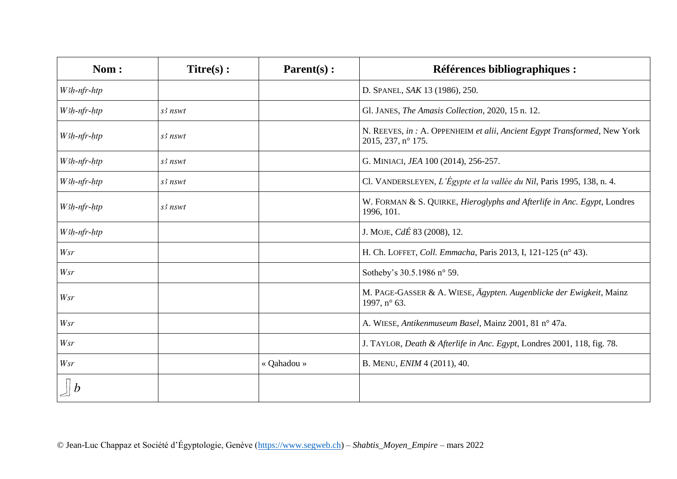| Nom:        | $Titre(s)$ : | Parent(s):  | <b>Références bibliographiques :</b>                                                            |
|-------------|--------------|-------------|-------------------------------------------------------------------------------------------------|
| W3h-nfr-htp |              |             | D. SPANEL, SAK 13 (1986), 250.                                                                  |
| W3h-nfr-htp | $s2$ nswt    |             | Gl. JANES, The Amasis Collection, 2020, 15 n. 12.                                               |
| W3h-nfr-htp | $s2$ nswt    |             | N. REEVES, in : A. OPPENHEIM et alii, Ancient Egypt Transformed, New York<br>2015, 237, n° 175. |
| W3h-nfr-htp | s3 nswt      |             | G. MINIACI, JEA 100 (2014), 256-257.                                                            |
| W3h-nfr-htp | $s2$ nswt    |             | Cl. VANDERSLEYEN, L'Égypte et la vallée du Nil, Paris 1995, 138, n. 4.                          |
| W3h-nfr-htp | $s2$ nswt    |             | W. FORMAN & S. QUIRKE, Hieroglyphs and Afterlife in Anc. Egypt, Londres<br>1996, 101.           |
| W3h-nfr-htp |              |             | J. MOJE, CdÉ 83 (2008), 12.                                                                     |
| Wsr         |              |             | H. Ch. LOFFET, Coll. Emmacha, Paris 2013, I, 121-125 (n° 43).                                   |
| Wsr         |              |             | Sotheby's 30.5.1986 n° 59.                                                                      |
| <b>Wsr</b>  |              |             | M. PAGE-GASSER & A. WIESE, Ägypten. Augenblicke der Ewigkeit, Mainz<br>1997, n° 63.             |
| Wsr         |              |             | A. WIESE, Antikenmuseum Basel, Mainz 2001, 81 n° 47a.                                           |
| Wsr         |              |             | J. TAYLOR, Death & Afterlife in Anc. Egypt, Londres 2001, 118, fig. 78.                         |
| <b>Wsr</b>  |              | « Qahadou » | B. MENU, <i>ENIM</i> 4 (2011), 40.                                                              |
|             |              |             |                                                                                                 |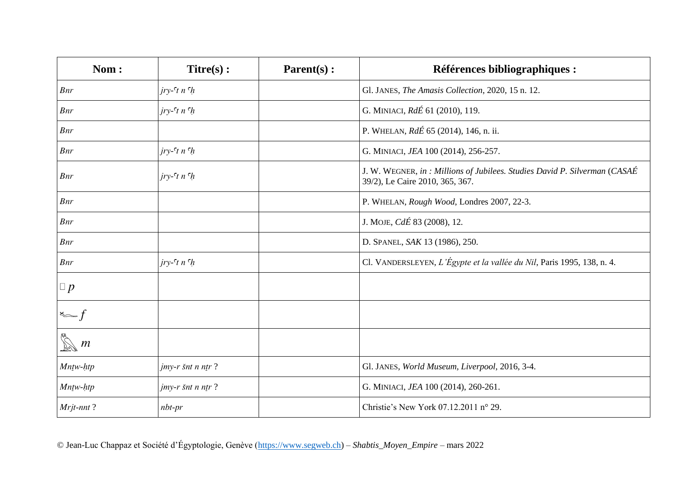| Nom:                             | $Titre(s)$ :                | Parent(s): | <b>Références bibliographiques :</b>                                                                          |
|----------------------------------|-----------------------------|------------|---------------------------------------------------------------------------------------------------------------|
| Bnr                              | $jry$ - $\tau$ t n $\tau$ h |            | Gl. JANES, The Amasis Collection, 2020, 15 n. 12.                                                             |
| Bnr                              | $jry$ - $\tau$ t n $\tau$ h |            | G. MINIACI, RdÉ 61 (2010), 119.                                                                               |
| Bnr                              |                             |            | P. WHELAN, RdÉ 65 (2014), 146, n. ii.                                                                         |
| Bnr                              | $jry$ - $\tau$ t n $\tau$ h |            | G. MINIACI, JEA 100 (2014), 256-257.                                                                          |
| Bnr                              | $jry$ - $\tau$ n $\tau$ h   |            | J. W. WEGNER, in : Millions of Jubilees. Studies David P. Silverman (CASAÉ<br>39/2), Le Caire 2010, 365, 367. |
| <b>Bnr</b>                       |                             |            | P. WHELAN, Rough Wood, Londres 2007, 22-3.                                                                    |
| Bnr                              |                             |            | J. MOJE, CdÉ 83 (2008), 12.                                                                                   |
| Bnr                              |                             |            | D. SPANEL, SAK 13 (1986), 250.                                                                                |
| Bnr                              | $jry$ - $\tau$ t n $\tau$ h |            | Cl. VANDERSLEYEN, L'Égypte et la vallée du Nil, Paris 1995, 138, n. 4.                                        |
| $\Box p$                         |                             |            |                                                                                                               |
| $\sum_{i=1}^{n} \frac{f_i}{f_i}$ |                             |            |                                                                                                               |
| $\boldsymbol{m}$                 |                             |            |                                                                                                               |
| Mntw-htp                         | $j$ <i>my-r šnt n ntr?</i>  |            | Gl. JANES, World Museum, Liverpool, 2016, 3-4.                                                                |
| Mntw-htp                         | $j$ <i>my-r šnt n ntr</i> ? |            | G. MINIACI, JEA 100 (2014), 260-261.                                                                          |
| Mrjt-nnt?                        | $nbt-pr$                    |            | Christie's New York 07.12.2011 n° 29.                                                                         |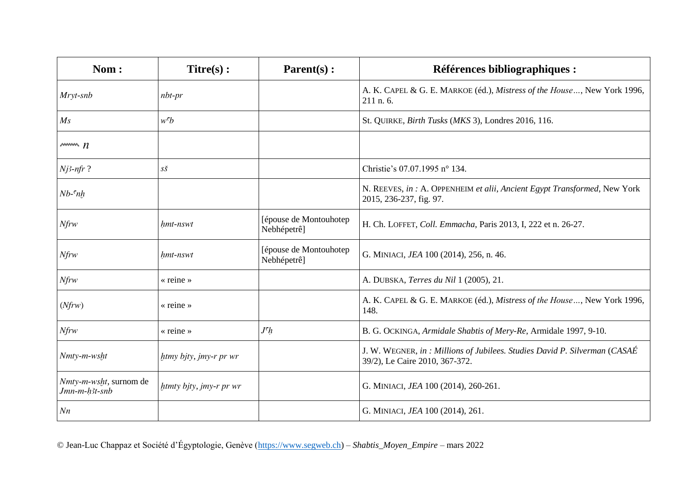| Nom:                                    | $Titre(s)$ :            | $Parent(s)$ :                         | <b>Références bibliographiques :</b>                                                                         |
|-----------------------------------------|-------------------------|---------------------------------------|--------------------------------------------------------------------------------------------------------------|
| Mryt-snb                                | $nbt-pr$                |                                       | A. K. CAPEL & G. E. MARKOE (éd.), Mistress of the House, New York 1996,<br>211 n. 6.                         |
| $M_{\rm S}$                             | $w^c b$                 |                                       | St. QUIRKE, Birth Tusks (MKS 3), Londres 2016, 116.                                                          |
| $\sqrt{m}$ $n$                          |                         |                                       |                                                                                                              |
| $Nj3-nfr$ ?                             | $S\check{S}$            |                                       | Christie's 07.07.1995 n° 134.                                                                                |
| $Nb$ - $nh$                             |                         |                                       | N. REEVES, in : A. OPPENHEIM et alii, Ancient Egypt Transformed, New York<br>2015, 236-237, fig. 97.         |
| $N$ frw                                 | hmt-nswt                | [épouse de Montouhotep<br>Nebhépetrê] | H. Ch. LOFFET, Coll. Emmacha, Paris 2013, I, 222 et n. 26-27.                                                |
| $N$ frw                                 | hmt-nswt                | [épouse de Montouhotep<br>Nebhépetrê] | G. MINIACI, JEA 100 (2014), 256, n. 46.                                                                      |
| $N$ frw                                 | $\kappa$ reine »        |                                       | A. DUBSKA, Terres du Nil 1 (2005), 21.                                                                       |
| (Nfrw)                                  | $\kappa$ reine »        |                                       | A. K. CAPEL & G. E. MARKOE (éd.), Mistress of the House, New York 1996,<br>148.                              |
| $N$ frw                                 | $\kappa$ reine »        | J <sup>c</sup> h                      | B. G. OCKINGA, Armidale Shabtis of Mery-Re, Armidale 1997, 9-10.                                             |
| Nmty-m-wsht                             | htmy bjty, jmy-r pr wr  |                                       | J. W. WEGNER, in : Millions of Jubilees. Studies David P. Silverman (CASAÉ<br>39/2), Le Caire 2010, 367-372. |
| Nmty-m-wsht, surnom de<br>Jmn-m-h3t-snb | htmty bjty, jmy-r pr wr |                                       | G. MINIACI, JEA 100 (2014), 260-261.                                                                         |
| N <sub>n</sub>                          |                         |                                       | G. MINIACI, JEA 100 (2014), 261.                                                                             |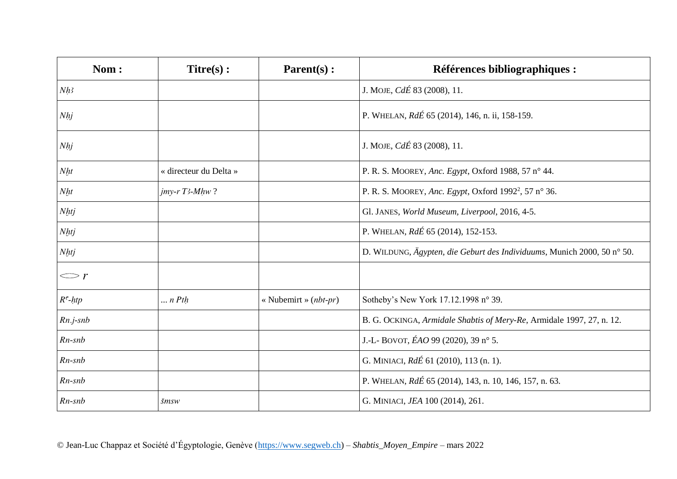| Nom:            | $Titre(s)$ :           | Parent(s):              | <b>Références bibliographiques :</b>                                    |
|-----------------|------------------------|-------------------------|-------------------------------------------------------------------------|
| Nh3             |                        |                         | J. MOJE, <i>CdÉ</i> 83 (2008), 11.                                      |
| N <sub>hj</sub> |                        |                         | P. WHELAN, RdÉ 65 (2014), 146, n. ii, 158-159.                          |
| Nhj             |                        |                         | J. MOJE, <i>CdÉ</i> 83 (2008), 11.                                      |
| Nht             | « directeur du Delta » |                         | P. R. S. MOOREY, Anc. Egypt, Oxford 1988, 57 n° 44.                     |
| Nht             | $j$ my-r T3-Mhw?       |                         | P. R. S. MOOREY, Anc. Egypt, Oxford 1992 <sup>2</sup> , 57 n° 36.       |
| <b>Nhtj</b>     |                        |                         | Gl. JANES, World Museum, Liverpool, 2016, 4-5.                          |
| Nhtj            |                        |                         | P. WHELAN, RdÉ 65 (2014), 152-153.                                      |
| Nhtj            |                        |                         | D. WILDUNG, Ägypten, die Geburt des Individuums, Munich 2000, 50 n° 50. |
| $\smile r$      |                        |                         |                                                                         |
| $Rc$ -htp       | $\ldots$ n Pth         | « Nubemirt » $(nbt-pr)$ | Sotheby's New York 17.12.1998 n° 39.                                    |
| $Rn.j-snb$      |                        |                         | B. G. OCKINGA, Armidale Shabtis of Mery-Re, Armidale 1997, 27, n. 12.   |
| $Rn$ -snb       |                        |                         | J.-L- BOVOT, $EAO$ 99 (2020), 39 n° 5.                                  |
| $Rn$ -snb       |                        |                         | G. MINIACI, RdÉ 61 (2010), 113 (n. 1).                                  |
| $Rn$ -snb       |                        |                         | P. WHELAN, RdÉ 65 (2014), 143, n. 10, 146, 157, n. 63.                  |
| $Rn$ -snb       | šmsw                   |                         | G. MINIACI, JEA 100 (2014), 261.                                        |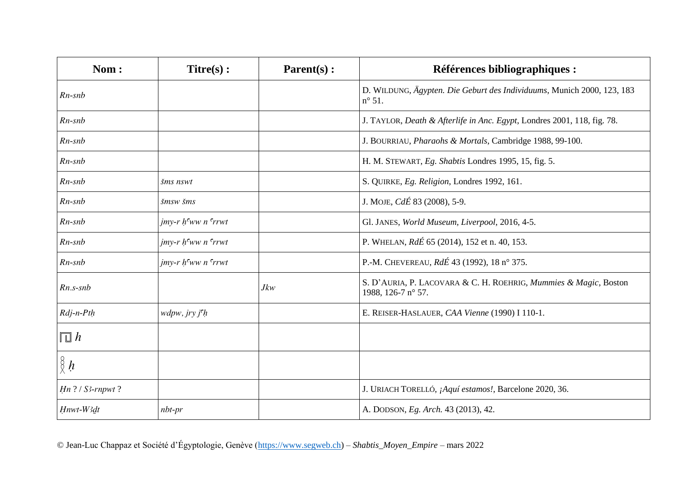| Nom:                       | $Titre(s)$ :                                     | $\textbf{Parent}(s)$ : | <b>Références bibliographiques :</b>                                                      |
|----------------------------|--------------------------------------------------|------------------------|-------------------------------------------------------------------------------------------|
| $Rn$ -sn $b$               |                                                  |                        | D. WILDUNG, Ägypten. Die Geburt des Individuums, Munich 2000, 123, 183<br>$n^{\circ}$ 51. |
| $Rn$ -snb                  |                                                  |                        | J. TAYLOR, Death & Afterlife in Anc. Egypt, Londres 2001, 118, fig. 78.                   |
| $Rn$ -snb                  |                                                  |                        | J. BOURRIAU, Pharaohs & Mortals, Cambridge 1988, 99-100.                                  |
| $Rn$ -sn $b$               |                                                  |                        | H. M. STEWART, Eg. Shabtis Londres 1995, 15, fig. 5.                                      |
| $Rn$ -sn $b$               | šms nswt                                         |                        | S. QUIRKE, Eg. Religion, Londres 1992, 161.                                               |
| $Rn$ -sn $b$               | šmsw šms                                         |                        | J. MOJE, CdÉ 83 (2008), 5-9.                                                              |
| $Rn$ -snb                  | $j$ my-r $h$ <sup>c</sup> ww n <sup>c</sup> rrwt |                        | Gl. JANES, World Museum, Liverpool, 2016, 4-5.                                            |
| $Rn$ -snb                  | $j$ my-r h <sup>c</sup> ww n <sup>c</sup> rrwt   |                        | P. WHELAN, RdÉ 65 (2014), 152 et n. 40, 153.                                              |
| $Rn$ -snb                  | $j$ my-r $h$ <sup>c</sup> ww n <sup>c</sup> rrwt |                        | P.-M. CHEVEREAU, RdÉ 43 (1992), 18 n° 375.                                                |
| $Rn.s-snb$                 |                                                  | Jkw                    | S. D'AURIA, P. LACOVARA & C. H. ROEHRIG, Mummies & Magic, Boston<br>1988, 126-7 n° 57.    |
| $Rdj-n-Pth$                | wdpw, jry j <sup>ch</sup>                        |                        | E. REISER-HASLAUER, CAA Vienne (1990) I 110-1.                                            |
| $\overline{\mathbb{L}}\,h$ |                                                  |                        |                                                                                           |
| $\frac{8}{8}h$             |                                                  |                        |                                                                                           |
| $Hn$ ? / S3-rnpwt ?        |                                                  |                        | J. URIACH TORELLÓ, ¡Aquí estamos!, Barcelone 2020, 36.                                    |
| Hnwt-W3dt                  | $nbt-pr$                                         |                        | A. DODSON, Eg. Arch. 43 (2013), 42.                                                       |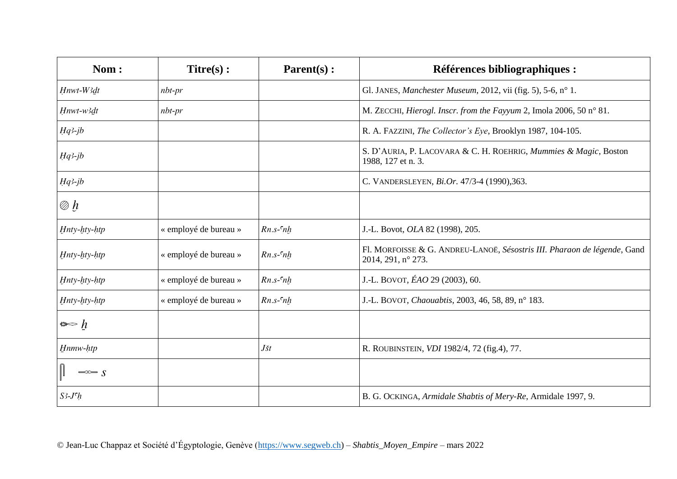| Nom:                      | $Titre(s)$ :          | Parent(s):     | <b>Références bibliographiques :</b>                                                           |
|---------------------------|-----------------------|----------------|------------------------------------------------------------------------------------------------|
| Hnwt-W3dt                 | $nbt-pr$              |                | Gl. JANES, Manchester Museum, 2012, vii (fig. 5), 5-6, n° 1.                                   |
| Hnwt-w3dt                 | $nbt-pr$              |                | M. ZECCHI, Hierogl. Inscr. from the Fayyum 2, Imola 2006, 50 n° 81.                            |
| $Hq3-jb$                  |                       |                | R. A. FAZZINI, The Collector's Eye, Brooklyn 1987, 104-105.                                    |
| $Hq3-jb$                  |                       |                | S. D'AURIA, P. LACOVARA & C. H. ROEHRIG, Mummies & Magic, Boston<br>1988, 127 et n. 3.         |
| $Hq3-jb$                  |                       |                | C. VANDERSLEYEN, Bi.Or. 47/3-4 (1990), 363.                                                    |
| $\mathscr{D} \mathscr{b}$ |                       |                |                                                                                                |
| Hnty-hty-htp              | « employé de bureau » | $Rn.s$ - $n$ h | J.-L. Bovot, OLA 82 (1998), 205.                                                               |
| Hnty-hty-htp              | « employé de bureau » | $Rn.s$ - $nh$  | Fl. MORFOISSE & G. ANDREU-LANOË, Sésostris III. Pharaon de légende, Gand<br>2014, 291, n° 273. |
| Hnty-hty-htp              | « employé de bureau » | $Rn.s$ - $nh$  | J.-L. BOVOT, ÉAO 29 (2003), 60.                                                                |
| Hnty-hty-htp              | « employé de bureau » | $Rn.s$ - $nh$  | J.-L. BOVOT, Chaouabtis, 2003, 46, 58, 89, nº 183.                                             |
| $\Leftrightarrow h$       |                       |                |                                                                                                |
| Hnmw-htp                  |                       | $J\check{s}t$  | R. ROUBINSTEIN, VDI 1982/4, 72 (fig.4), 77.                                                    |
| $\Rightarrow$ s           |                       |                |                                                                                                |
| $S^3$ - $J^c h$           |                       |                | B. G. OCKINGA, Armidale Shabtis of Mery-Re, Armidale 1997, 9.                                  |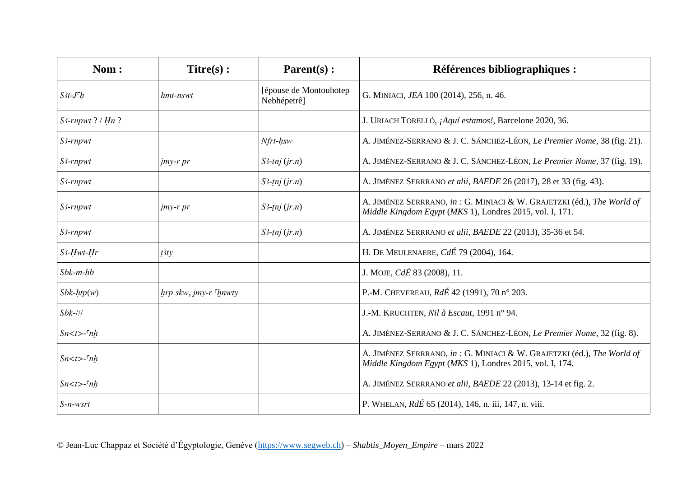| Nom:                | $Titre(s)$ :               | $Parent(s)$ :                          | <b>Références bibliographiques :</b>                                                                                               |
|---------------------|----------------------------|----------------------------------------|------------------------------------------------------------------------------------------------------------------------------------|
| $S3t-Jch$           | hmt-nswt                   | [épouse de Montouhotep]<br>Nebhépetrê] | G. MINIACI, JEA 100 (2014), 256, n. 46.                                                                                            |
| $S3$ -rnpwt? / Hn?  |                            |                                        | J. URIACH TORELLÓ, ¡Aquí estamos!, Barcelone 2020, 36.                                                                             |
| S3-rnpwt            |                            | Nfrt-hsw                               | A. JIMÉNEZ-SERRANO & J. C. SÁNCHEZ-LÉON, Le Premier Nome, 38 (fig. 21).                                                            |
| $S3$ -rnpwt         | <i>jmy-r pr</i>            | $S^3$ -tnj $(jr.n)$                    | A. JIMÉNEZ-SERRANO & J. C. SÁNCHEZ-LÉON, Le Premier Nome, 37 (fig. 19).                                                            |
| S3-rnpwt            |                            | $S3$ -tnj $(jr.n)$                     | A. JIMÉNEZ SERRRANO et alii, BAEDE 26 (2017), 28 et 33 (fig. 43).                                                                  |
| S3-rnpwt            | $j$ <i>my-r pr</i>         | $S^3$ -tnj $(jr.n)$                    | A. JIMÉNEZ SERRRANO, in: G. MINIACI & W. GRAJETZKI (éd.), The World of<br>Middle Kingdom Egypt (MKS 1), Londres 2015, vol. I, 171. |
| S3-rnpwt            |                            | $S^3$ -tnj (jr.n)                      | A. JIMÉNEZ SERRRANO et alii, BAEDE 22 (2013), 35-36 et 54.                                                                         |
| $S3$ -Hwt-Hr        | t <sup>3</sup> ty          |                                        | H. DE MEULENAERE, CdÉ 79 (2004), 164.                                                                                              |
| $Sbk-m-hb$          |                            |                                        | J. MOJE, $Cd\acute{E}$ 83 (2008), 11.                                                                                              |
| $Sbk-htp(w)$        | $hrp$ skw, jmy-r $r$ hnwty |                                        | P.-M. CHEVEREAU, RdÉ 42 (1991), 70 n° 203.                                                                                         |
| $Sbk-111$           |                            |                                        | J.-M. KRUCHTEN, Nil à Escaut, 1991 n° 94.                                                                                          |
| $Sn < t >$ - $c nh$ |                            |                                        | A. JIMÉNEZ-SERRANO & J. C. SÁNCHEZ-LÉON, Le Premier Nome, 32 (fig. 8).                                                             |
| $Sn < t > -c nh$    |                            |                                        | A. JIMÉNEZ SERRRANO, in: G. MINIACI & W. GRAJETZKI (éd.), The World of<br>Middle Kingdom Egypt (MKS 1), Londres 2015, vol. I, 174. |
| $Sn < t >$ - $c nh$ |                            |                                        | A. JIMÉNEZ SERRRANO et alii, BAEDE 22 (2013), 13-14 et fig. 2.                                                                     |
| $S$ -n-wsrt         |                            |                                        | P. WHELAN, RdÉ 65 (2014), 146, n. iii, 147, n. viii.                                                                               |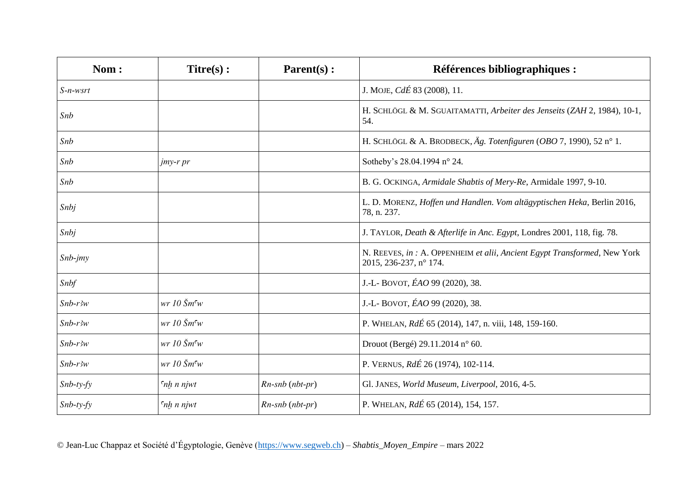| Nom:        | $Titre(s)$ :                                           | $Parent(s)$ :        | Références bibliographiques :                                                                       |
|-------------|--------------------------------------------------------|----------------------|-----------------------------------------------------------------------------------------------------|
| $S$ -n-wsrt |                                                        |                      | J. MOJE, <i>CdÉ</i> 83 (2008), 11.                                                                  |
| Snb         |                                                        |                      | H. SCHLÖGL & M. SGUAITAMATTI, Arbeiter des Jenseits (ZAH 2, 1984), 10-1,<br>54.                     |
| Snb         |                                                        |                      | H. SCHLÖGL & A. BRODBECK, Äg. Totenfiguren (OBO 7, 1990), 52 n° 1.                                  |
| Snb         | jmy-r pr                                               |                      | Sotheby's 28.04.1994 n° 24.                                                                         |
| Snb         |                                                        |                      | B. G. OCKINGA, Armidale Shabtis of Mery-Re, Armidale 1997, 9-10.                                    |
| Snbj        |                                                        |                      | L. D. MORENZ, Hoffen und Handlen. Vom altägyptischen Heka, Berlin 2016,<br>78, n. 237.              |
| Snbj        |                                                        |                      | J. TAYLOR, Death & Afterlife in Anc. Egypt, Londres 2001, 118, fig. 78.                             |
| $Shb-jmy$   |                                                        |                      | N. REEVES, in : A. OPPENHEIM et alii, Ancient Egypt Transformed, New York<br>2015, 236-237, n° 174. |
| Snbf        |                                                        |                      | J.-L- BOVOT, ÉAO 99 (2020), 38.                                                                     |
| $Shb-r3w$   | $wr 10 \text{ } \overset{\circ}{S}m\overset{\circ}{w}$ |                      | J.-L- BOVOT, ÉAO 99 (2020), 38.                                                                     |
| $Shb-r3w$   | $wr 10 \text{~} \text{~} m\text{~} w$                  |                      | P. WHELAN, RdÉ 65 (2014), 147, n. viii, 148, 159-160.                                               |
| $Shb-r3w$   | $wr 10 \text{ } \overset{\circ}{S}m\overset{\circ}{w}$ |                      | Drouot (Bergé) 29.11.2014 n° 60.                                                                    |
| $Shb-r3w$   | $wr 10 \text{~} \text{~} m \text{~} w$                 |                      | P. VERNUS, RdÉ 26 (1974), 102-114.                                                                  |
| $Shb-ty-fy$ | $\int$ nh n njwt                                       | $Rn$ -snb $(nbt-pr)$ | Gl. JANES, World Museum, Liverpool, 2016, 4-5.                                                      |
| $Shb-ty-fy$ | $\int$ nh n njwt                                       | Rn-snb (nbt-pr)      | P. WHELAN, RdÉ 65 (2014), 154, 157.                                                                 |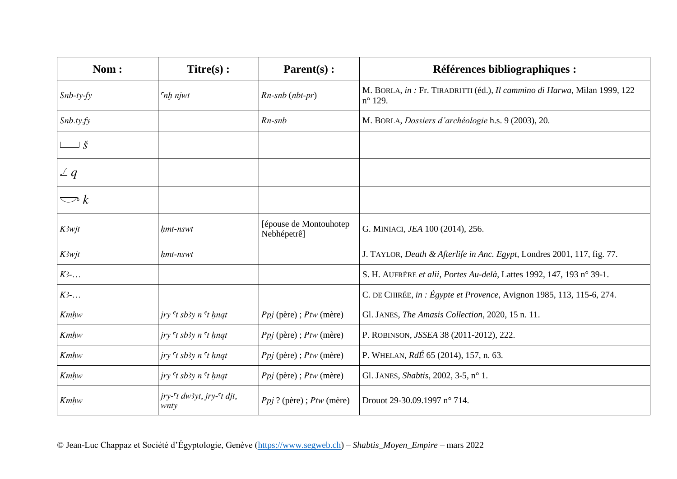| Nom:                   | $Titre(s)$ :                                                | $\textbf{Parent}(s)$ :                 | <b>Références bibliographiques :</b>                                                          |
|------------------------|-------------------------------------------------------------|----------------------------------------|-----------------------------------------------------------------------------------------------|
| $Shb-ty-fy$            | $\int$ nh njwt                                              | $Rn$ -snb $(nbt-pr)$                   | M. BORLA, in : Fr. TIRADRITTI (éd.), Il cammino di Harwa, Milan 1999, 122<br>$n^{\circ}$ 129. |
| Shb.ty.fy              |                                                             | $Rn$ -snb                              | M. BORLA, <i>Dossiers d'archéologie</i> h.s. 9 (2003), 20.                                    |
| $\check{\mathbf{S}}$   |                                                             |                                        |                                                                                               |
| $\vartriangle q$       |                                                             |                                        |                                                                                               |
| $\bigtriangledown$ $k$ |                                                             |                                        |                                                                                               |
| <b>K3wjt</b>           | hmt-nswt                                                    | [épouse de Montouhotep]<br>Nebhépetrê] | G. MINIACI, JEA 100 (2014), 256.                                                              |
| K3wjt                  | hmt-nswt                                                    |                                        | J. TAYLOR, Death & Afterlife in Anc. Egypt, Londres 2001, 117, fig. 77.                       |
| $K$ 3-                 |                                                             |                                        | S. H. AUFRÈRE et alii, Portes Au-delà, Lattes 1992, 147, 193 n° 39-1.                         |
| $K$ 3-                 |                                                             |                                        | C. DE CHIRÉE, in : Égypte et Provence, Avignon 1985, 113, 115-6, 274.                         |
| Kmhw                   | $jry$ <sup><math>\tau</math></sup> sb3y n $\tau$ hnqt       | $Ppj$ (père); $Ptw$ (mère)             | Gl. JANES, The Amasis Collection, 2020, 15 n. 11.                                             |
| Kmhw                   | $jry$ <sup><math>\tau</math></sup> $sb3y$ $n$ $\tau$ $hnqt$ | $Ppj$ (père); $Ptw$ (mère)             | P. ROBINSON, JSSEA 38 (2011-2012), 222.                                                       |
| Kmhw                   | $jry$ <sup><math>\tau</math></sup> $sb3y$ $n$ $\tau$ $hnqt$ | $Ppj$ (père); $Ptw$ (mère)             | P. WHELAN, RdÉ 65 (2014), 157, n. 63.                                                         |
| Kmhw                   | $jry$ <sup><math>\tau</math></sup> $sb3y$ $n$ $\tau$ $hnqt$ | $Ppj$ (père); $Ptw$ (mère)             | Gl. JANES, Shabtis, 2002, 3-5, n° 1.                                                          |
| Kmhw                   | jry- <sup>c</sup> t dw3yt, jry- <sup>c</sup> t djt,<br>wnty | $Ppj$ ? (père); $Ptw$ (mère)           | Drouot 29-30.09.1997 n° 714.                                                                  |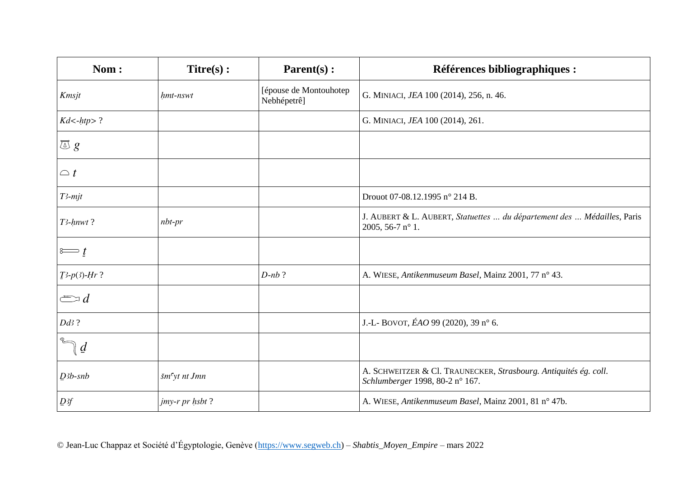| Nom:                                 | $Titre(s)$ :              | Parent(s):                            | <b>Références bibliographiques :</b>                                                                 |
|--------------------------------------|---------------------------|---------------------------------------|------------------------------------------------------------------------------------------------------|
| Kmsjt                                | hmt-nswt                  | [épouse de Montouhotep<br>Nebhépetrê] | G. MINIACI, JEA 100 (2014), 256, n. 46.                                                              |
| $Kd$ <-htp>?                         |                           |                                       | G. MINIACI, JEA 100 (2014), 261.                                                                     |
| $\sqrt{\triangle}$ $g$               |                           |                                       |                                                                                                      |
| $\bigcirc$ t                         |                           |                                       |                                                                                                      |
| $T3$ -mjt                            |                           |                                       | Drouot 07-08.12.1995 n° 214 B.                                                                       |
| T3-hnwt?                             | $nbt-pr$                  |                                       | J. AUBERT & L. AUBERT, Statuettes  du département des  Médailles, Paris<br>2005, 56-7 $n^{\circ}$ 1. |
| $\stackrel{\circ}{\Longleftarrow}$ t |                           |                                       |                                                                                                      |
| $I^3-p(3)$ -Hr?                      |                           | $D$ -nb?                              | A. WIESE, Antikenmuseum Basel, Mainz 2001, 77 n° 43.                                                 |
| $\Longleftrightarrow d$              |                           |                                       |                                                                                                      |
| $Dd3$ ?                              |                           |                                       | J.-L- BOVOT, ÉAO 99 (2020), 39 n° 6.                                                                 |
| $\underline{a}$                      |                           |                                       |                                                                                                      |
| $D3b$ -snb                           | šm <sup>c</sup> yt nt Jmn |                                       | A. SCHWEITZER & Cl. TRAUNECKER, Strasbourg. Antiquités ég. coll.<br>Schlumberger 1998, 80-2 n° 167.  |
| D <sup>3f</sup>                      | jmy-r pr hsbt?            |                                       | A. WIESE, Antikenmuseum Basel, Mainz 2001, 81 n° 47b.                                                |